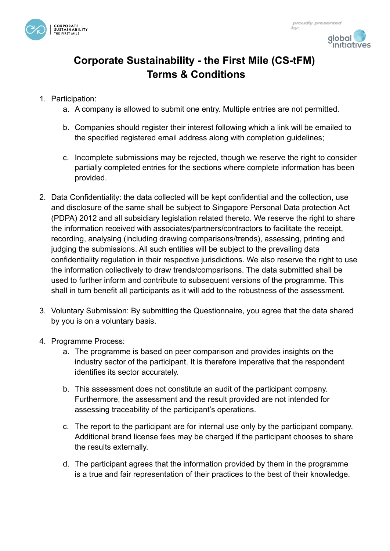



ĥν

## **Corporate Sustainability - the First Mile (CS-tFM) Terms & Conditions**

- 1. Participation:
	- a. A company is allowed to submit one entry. Multiple entries are not permitted.
	- b. Companies should register their interest following which a link will be emailed to the specified registered email address along with completion guidelines;
	- c. Incomplete submissions may be rejected, though we reserve the right to consider partially completed entries for the sections where complete information has been provided.
- 2. Data Confidentiality: the data collected will be kept confidential and the collection, use and disclosure of the same shall be subject to Singapore Personal Data protection Act (PDPA) 2012 and all subsidiary legislation related thereto. We reserve the right to share the information received with associates/partners/contractors to facilitate the receipt, recording, analysing (including drawing comparisons/trends), assessing, printing and judging the submissions. All such entities will be subject to the prevailing data confidentiality regulation in their respective jurisdictions. We also reserve the right to use the information collectively to draw trends/comparisons. The data submitted shall be used to further inform and contribute to subsequent versions of the programme. This shall in turn benefit all participants as it will add to the robustness of the assessment.
- 3. Voluntary Submission: By submitting the Questionnaire, you agree that the data shared by you is on a voluntary basis.
- 4. Programme Process:
	- a. The programme is based on peer comparison and provides insights on the industry sector of the participant. It is therefore imperative that the respondent identifies its sector accurately.
	- b. This assessment does not constitute an audit of the participant company. Furthermore, the assessment and the result provided are not intended for assessing traceability of the participant's operations.
	- c. The report to the participant are for internal use only by the participant company. Additional brand license fees may be charged if the participant chooses to share the results externally.
	- d. The participant agrees that the information provided by them in the programme is a true and fair representation of their practices to the best of their knowledge.